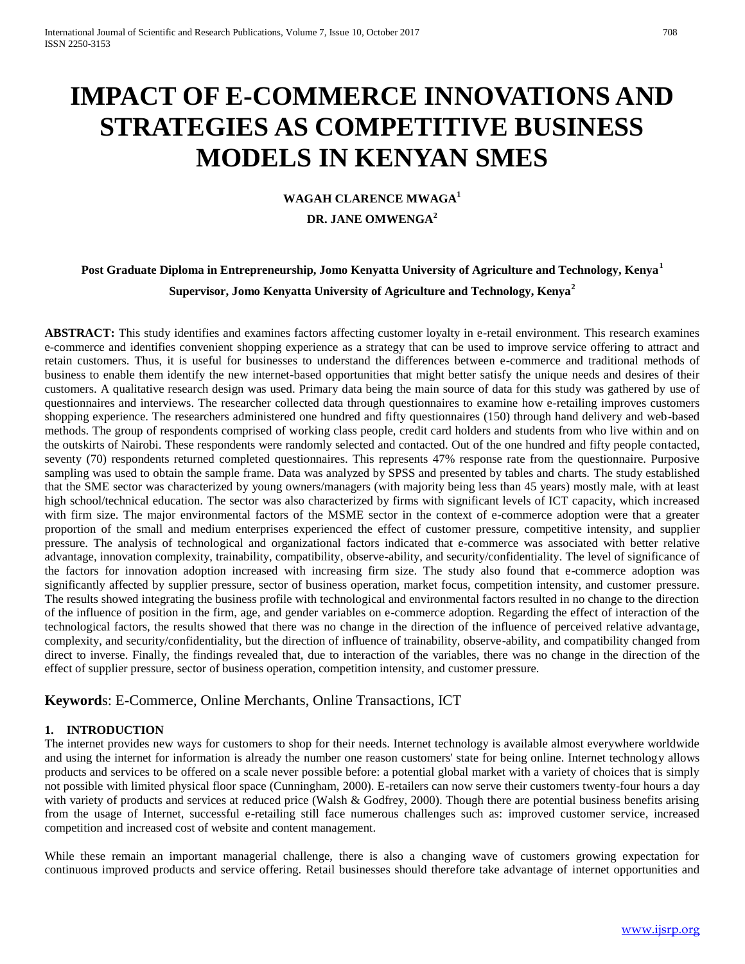# **IMPACT OF E-COMMERCE INNOVATIONS AND STRATEGIES AS COMPETITIVE BUSINESS MODELS IN KENYAN SMES**

## **WAGAH CLARENCE MWAGA<sup>1</sup>**

#### **DR. JANE OMWENGA<sup>2</sup>**

# **Post Graduate Diploma in Entrepreneurship, Jomo Kenyatta University of Agriculture and Technology, Kenya<sup>1</sup> Supervisor, Jomo Kenyatta University of Agriculture and Technology, Kenya<sup>2</sup>**

**ABSTRACT:** This study identifies and examines factors affecting customer loyalty in e-retail environment. This research examines e-commerce and identifies convenient shopping experience as a strategy that can be used to improve service offering to attract and retain customers. Thus, it is useful for businesses to understand the differences between e-commerce and traditional methods of business to enable them identify the new internet-based opportunities that might better satisfy the unique needs and desires of their customers. A qualitative research design was used. Primary data being the main source of data for this study was gathered by use of questionnaires and interviews. The researcher collected data through questionnaires to examine how e-retailing improves customers shopping experience. The researchers administered one hundred and fifty questionnaires (150) through hand delivery and web-based methods. The group of respondents comprised of working class people, credit card holders and students from who live within and on the outskirts of Nairobi. These respondents were randomly selected and contacted. Out of the one hundred and fifty people contacted, seventy (70) respondents returned completed questionnaires. This represents 47% response rate from the questionnaire. Purposive sampling was used to obtain the sample frame. Data was analyzed by SPSS and presented by tables and charts. The study established that the SME sector was characterized by young owners/managers (with majority being less than 45 years) mostly male, with at least high school/technical education. The sector was also characterized by firms with significant levels of ICT capacity, which increased with firm size. The major environmental factors of the MSME sector in the context of e-commerce adoption were that a greater proportion of the small and medium enterprises experienced the effect of customer pressure, competitive intensity, and supplier pressure. The analysis of technological and organizational factors indicated that e-commerce was associated with better relative advantage, innovation complexity, trainability, compatibility, observe-ability, and security/confidentiality. The level of significance of the factors for innovation adoption increased with increasing firm size. The study also found that e-commerce adoption was significantly affected by supplier pressure, sector of business operation, market focus, competition intensity, and customer pressure. The results showed integrating the business profile with technological and environmental factors resulted in no change to the direction of the influence of position in the firm, age, and gender variables on e-commerce adoption. Regarding the effect of interaction of the technological factors, the results showed that there was no change in the direction of the influence of perceived relative advantage, complexity, and security/confidentiality, but the direction of influence of trainability, observe-ability, and compatibility changed from direct to inverse. Finally, the findings revealed that, due to interaction of the variables, there was no change in the direction of the effect of supplier pressure, sector of business operation, competition intensity, and customer pressure.

## **Keyword**s: E-Commerce, Online Merchants, Online Transactions, ICT

## **1. INTRODUCTION**

The internet provides new ways for customers to shop for their needs. Internet technology is available almost everywhere worldwide and using the internet for information is already the number one reason customers' state for being online. Internet technology allows products and services to be offered on a scale never possible before: a potential global market with a variety of choices that is simply not possible with limited physical floor space (Cunningham, 2000). E-retailers can now serve their customers twenty-four hours a day with variety of products and services at reduced price (Walsh & Godfrey, 2000). Though there are potential business benefits arising from the usage of Internet, successful e-retailing still face numerous challenges such as: improved customer service, increased competition and increased cost of website and content management.

While these remain an important managerial challenge, there is also a changing wave of customers growing expectation for continuous improved products and service offering. Retail businesses should therefore take advantage of internet opportunities and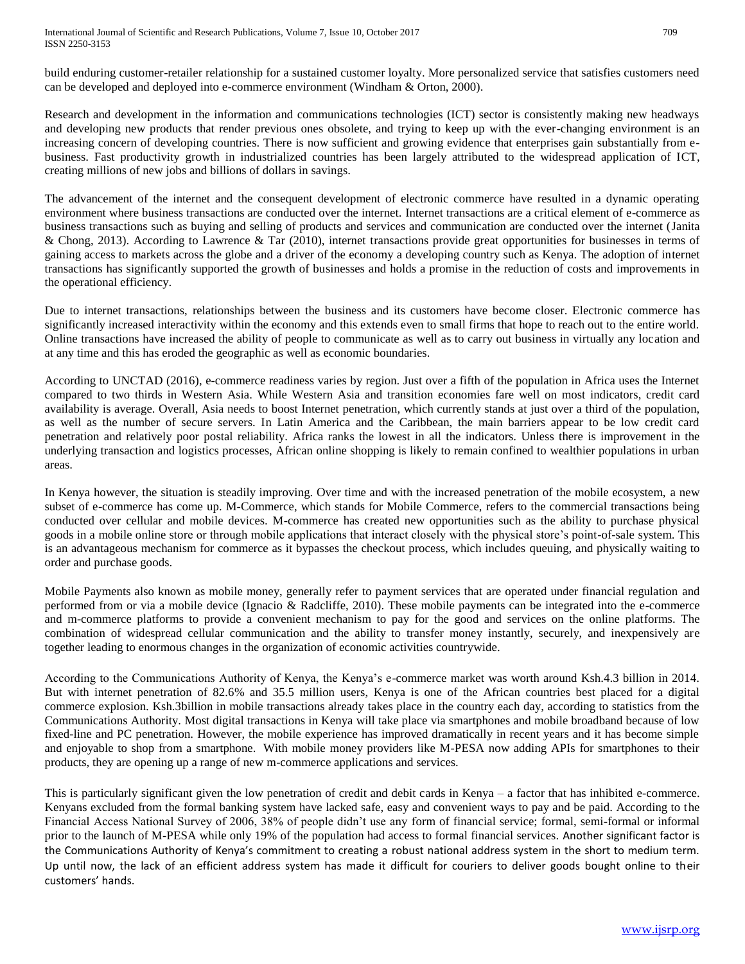build enduring customer-retailer relationship for a sustained customer loyalty. More personalized service that satisfies customers need can be developed and deployed into e-commerce environment (Windham & Orton, 2000).

Research and development in the information and communications technologies (ICT) sector is consistently making new headways and developing new products that render previous ones obsolete, and trying to keep up with the ever-changing environment is an increasing concern of developing countries. There is now sufficient and growing evidence that enterprises gain substantially from ebusiness. Fast productivity growth in industrialized countries has been largely attributed to the widespread application of ICT, creating millions of new jobs and billions of dollars in savings.

The advancement of the internet and the consequent development of electronic commerce have resulted in a dynamic operating environment where business transactions are conducted over the internet. Internet transactions are a critical element of e-commerce as business transactions such as buying and selling of products and services and communication are conducted over the internet (Janita & Chong, 2013). According to Lawrence & Tar (2010), internet transactions provide great opportunities for businesses in terms of gaining access to markets across the globe and a driver of the economy a developing country such as Kenya. The adoption of internet transactions has significantly supported the growth of businesses and holds a promise in the reduction of costs and improvements in the operational efficiency.

Due to internet transactions, relationships between the business and its customers have become closer. Electronic commerce has significantly increased interactivity within the economy and this extends even to small firms that hope to reach out to the entire world. Online transactions have increased the ability of people to communicate as well as to carry out business in virtually any location and at any time and this has eroded the geographic as well as economic boundaries.

According to UNCTAD (2016)*,* e-commerce readiness varies by region. Just over a fifth of the population in Africa uses the Internet compared to two thirds in Western Asia. While Western Asia and transition economies fare well on most indicators, credit card availability is average. Overall, Asia needs to boost Internet penetration, which currently stands at just over a third of the population, as well as the number of secure servers. In Latin America and the Caribbean, the main barriers appear to be low credit card penetration and relatively poor postal reliability. Africa ranks the lowest in all the indicators. Unless there is improvement in the underlying transaction and logistics processes, African online shopping is likely to remain confined to wealthier populations in urban areas.

In Kenya however, the situation is steadily improving. Over time and with the increased penetration of the mobile ecosystem, a new subset of e-commerce has come up. M-Commerce, which stands for Mobile Commerce, refers to the commercial transactions being conducted over cellular and mobile devices. M-commerce has created new opportunities such as the ability to purchase physical goods in a mobile online store or through mobile applications that interact closely with the physical store's point-of-sale system. This is an advantageous mechanism for commerce as it bypasses the checkout process, which includes queuing, and physically waiting to order and purchase goods.

Mobile Payments also known as mobile money, generally refer to payment services that are operated under financial regulation and performed from or via a mobile device (Ignacio & Radcliffe, 2010). These mobile payments can be integrated into the e-commerce and m-commerce platforms to provide a convenient mechanism to pay for the good and services on the online platforms. The combination of widespread cellular communication and the ability to transfer money instantly, securely, and inexpensively are together leading to enormous changes in the organization of economic activities countrywide.

According to the Communications Authority of Kenya, the Kenya's e-commerce market was worth around Ksh.4.3 billion in 2014. But with internet penetration of 82.6% and 35.5 million users, Kenya is one of the African countries best placed for a digital commerce explosion. Ksh.3billion in mobile transactions already takes place in the country each day, according to statistics from the Communications Authority. Most digital transactions in Kenya will take place via smartphones and mobile broadband because of low fixed-line and PC penetration. However, the mobile experience has improved dramatically in recent years and it has become simple and enjoyable to shop from a smartphone. With mobile money providers like M-PESA now adding APIs for smartphones to their products, they are opening up a range of new m-commerce applications and services.

This is particularly significant given the low penetration of credit and debit cards in Kenya – a factor that has inhibited e-commerce. Kenyans excluded from the formal banking system have lacked safe, easy and convenient ways to pay and be paid. According to the Financial Access National Survey of 2006, 38% of people didn't use any form of financial service; formal, semi-formal or informal prior to the launch of M-PESA while only 19% of the population had access to formal financial services. Another significant factor is the Communications Authority of Kenya's commitment to creating a robust national address system in the short to medium term. Up until now, the lack of an efficient address system has made it difficult for couriers to deliver goods bought online to their customers' hands.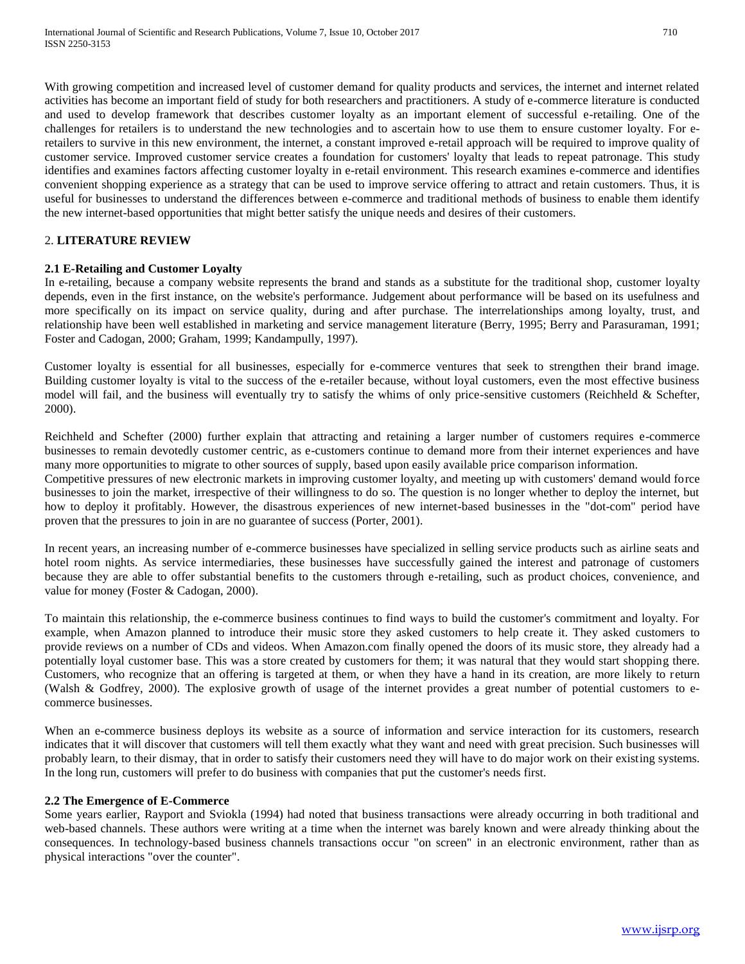With growing competition and increased level of customer demand for quality products and services, the internet and internet related activities has become an important field of study for both researchers and practitioners. A study of e-commerce literature is conducted and used to develop framework that describes customer loyalty as an important element of successful e-retailing. One of the challenges for retailers is to understand the new technologies and to ascertain how to use them to ensure customer loyalty. For eretailers to survive in this new environment, the internet, a constant improved e-retail approach will be required to improve quality of customer service. Improved customer service creates a foundation for customers' loyalty that leads to repeat patronage. This study identifies and examines factors affecting customer loyalty in e-retail environment. This research examines e-commerce and identifies convenient shopping experience as a strategy that can be used to improve service offering to attract and retain customers. Thus, it is useful for businesses to understand the differences between e-commerce and traditional methods of business to enable them identify the new internet-based opportunities that might better satisfy the unique needs and desires of their customers.

## 2. **LITERATURE REVIEW**

## **2.1 E-Retailing and Customer Loyalty**

In e-retailing, because a company website represents the brand and stands as a substitute for the traditional shop, customer loyalty depends, even in the first instance, on the website's performance. Judgement about performance will be based on its usefulness and more specifically on its impact on service quality, during and after purchase. The interrelationships among loyalty, trust, and relationship have been well established in marketing and service management literature (Berry, 1995; Berry and Parasuraman, 1991; Foster and Cadogan, 2000; Graham, 1999; Kandampully, 1997).

Customer loyalty is essential for all businesses, especially for e-commerce ventures that seek to strengthen their brand image. Building customer loyalty is vital to the success of the e-retailer because, without loyal customers, even the most effective business model will fail, and the business will eventually try to satisfy the whims of only price-sensitive customers (Reichheld & Schefter, 2000).

Reichheld and Schefter (2000) further explain that attracting and retaining a larger number of customers requires e-commerce businesses to remain devotedly customer centric, as e-customers continue to demand more from their internet experiences and have many more opportunities to migrate to other sources of supply, based upon easily available price comparison information.

Competitive pressures of new electronic markets in improving customer loyalty, and meeting up with customers' demand would force businesses to join the market, irrespective of their willingness to do so. The question is no longer whether to deploy the internet, but how to deploy it profitably. However, the disastrous experiences of new internet-based businesses in the "dot-com" period have proven that the pressures to join in are no guarantee of success (Porter, 2001).

In recent years, an increasing number of e-commerce businesses have specialized in selling service products such as airline seats and hotel room nights. As service intermediaries, these businesses have successfully gained the interest and patronage of customers because they are able to offer substantial benefits to the customers through e-retailing, such as product choices, convenience, and value for money (Foster & Cadogan, 2000).

To maintain this relationship, the e-commerce business continues to find ways to build the customer's commitment and loyalty. For example, when Amazon planned to introduce their music store they asked customers to help create it. They asked customers to provide reviews on a number of CDs and videos. When Amazon.com finally opened the doors of its music store, they already had a potentially loyal customer base. This was a store created by customers for them; it was natural that they would start shopping there. Customers, who recognize that an offering is targeted at them, or when they have a hand in its creation, are more likely to return (Walsh & Godfrey, 2000). The explosive growth of usage of the internet provides a great number of potential customers to ecommerce businesses.

When an e-commerce business deploys its website as a source of information and service interaction for its customers, research indicates that it will discover that customers will tell them exactly what they want and need with great precision. Such businesses will probably learn, to their dismay, that in order to satisfy their customers need they will have to do major work on their existing systems. In the long run, customers will prefer to do business with companies that put the customer's needs first.

#### **2.2 The Emergence of E-Commerce**

Some years earlier, Rayport and Sviokla (1994) had noted that business transactions were already occurring in both traditional and web-based channels. These authors were writing at a time when the internet was barely known and were already thinking about the consequences. In technology-based business channels transactions occur "on screen" in an electronic environment, rather than as physical interactions "over the counter".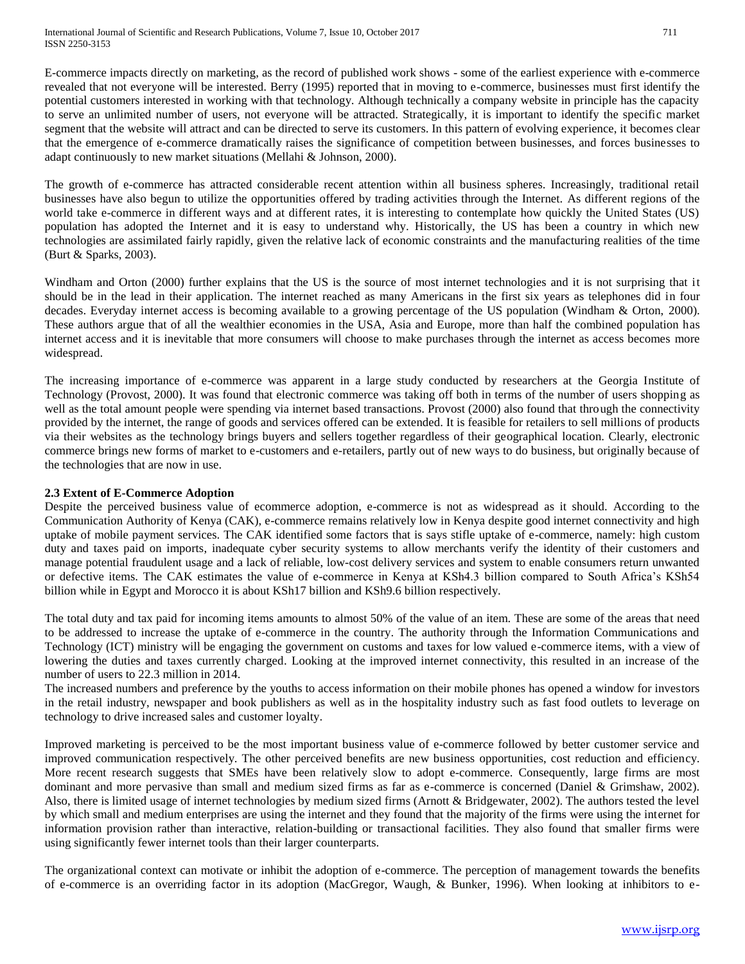E-commerce impacts directly on marketing, as the record of published work shows - some of the earliest experience with e-commerce revealed that not everyone will be interested. Berry (1995) reported that in moving to e-commerce, businesses must first identify the potential customers interested in working with that technology. Although technically a company website in principle has the capacity to serve an unlimited number of users, not everyone will be attracted. Strategically, it is important to identify the specific market segment that the website will attract and can be directed to serve its customers. In this pattern of evolving experience, it becomes clear that the emergence of e-commerce dramatically raises the significance of competition between businesses, and forces businesses to adapt continuously to new market situations (Mellahi & Johnson, 2000).

The growth of e-commerce has attracted considerable recent attention within all business spheres. Increasingly, traditional retail businesses have also begun to utilize the opportunities offered by trading activities through the Internet. As different regions of the world take e-commerce in different ways and at different rates, it is interesting to contemplate how quickly the United States (US) population has adopted the Internet and it is easy to understand why. Historically, the US has been a country in which new technologies are assimilated fairly rapidly, given the relative lack of economic constraints and the manufacturing realities of the time (Burt & Sparks, 2003).

Windham and Orton (2000) further explains that the US is the source of most internet technologies and it is not surprising that it should be in the lead in their application. The internet reached as many Americans in the first six years as telephones did in four decades. Everyday internet access is becoming available to a growing percentage of the US population (Windham & Orton, 2000). These authors argue that of all the wealthier economies in the USA, Asia and Europe, more than half the combined population has internet access and it is inevitable that more consumers will choose to make purchases through the internet as access becomes more widespread.

The increasing importance of e-commerce was apparent in a large study conducted by researchers at the Georgia Institute of Technology (Provost, 2000). It was found that electronic commerce was taking off both in terms of the number of users shopping as well as the total amount people were spending via internet based transactions. Provost (2000) also found that through the connectivity provided by the internet, the range of goods and services offered can be extended. It is feasible for retailers to sell millions of products via their websites as the technology brings buyers and sellers together regardless of their geographical location. Clearly, electronic commerce brings new forms of market to e-customers and e-retailers, partly out of new ways to do business, but originally because of the technologies that are now in use.

## **2.3 Extent of E-Commerce Adoption**

Despite the perceived business value of ecommerce adoption, e-commerce is not as widespread as it should. According to the Communication Authority of Kenya (CAK), e-commerce remains relatively low in Kenya despite good internet connectivity and high uptake of mobile payment services. The CAK identified some factors that is says stifle uptake of e-commerce, namely: high custom duty and taxes paid on imports, inadequate cyber security systems to allow merchants verify the identity of their customers and manage potential fraudulent usage and a lack of reliable, low-cost delivery services and system to enable consumers return unwanted or defective items. The CAK estimates the value of e-commerce in Kenya at KSh4.3 billion compared to South Africa's KSh54 billion while in Egypt and Morocco it is about KSh17 billion and KSh9.6 billion respectively.

The total duty and tax paid for incoming items amounts to almost 50% of the value of an item. These are some of the areas that need to be addressed to increase the uptake of e-commerce in the country. The authority through the Information Communications and Technology (ICT) ministry will be engaging the government on customs and taxes for low valued e-commerce items, with a view of lowering the duties and taxes currently charged. Looking at the improved internet connectivity, this resulted in an increase of the number of users to 22.3 million in 2014.

The increased numbers and preference by the youths to access information on their mobile phones has opened a window for investors in the retail industry, newspaper and book publishers as well as in the hospitality industry such as fast food outlets to leverage on technology to drive increased sales and customer loyalty.

Improved marketing is perceived to be the most important business value of e-commerce followed by better customer service and improved communication respectively. The other perceived benefits are new business opportunities, cost reduction and efficiency. More recent research suggests that SMEs have been relatively slow to adopt e-commerce. Consequently, large firms are most dominant and more pervasive than small and medium sized firms as far as e-commerce is concerned (Daniel & Grimshaw, 2002). Also, there is limited usage of internet technologies by medium sized firms (Arnott & Bridgewater, 2002). The authors tested the level by which small and medium enterprises are using the internet and they found that the majority of the firms were using the internet for information provision rather than interactive, relation-building or transactional facilities. They also found that smaller firms were using significantly fewer internet tools than their larger counterparts.

The organizational context can motivate or inhibit the adoption of e-commerce. The perception of management towards the benefits of e-commerce is an overriding factor in its adoption (MacGregor, Waugh, & Bunker, 1996). When looking at inhibitors to e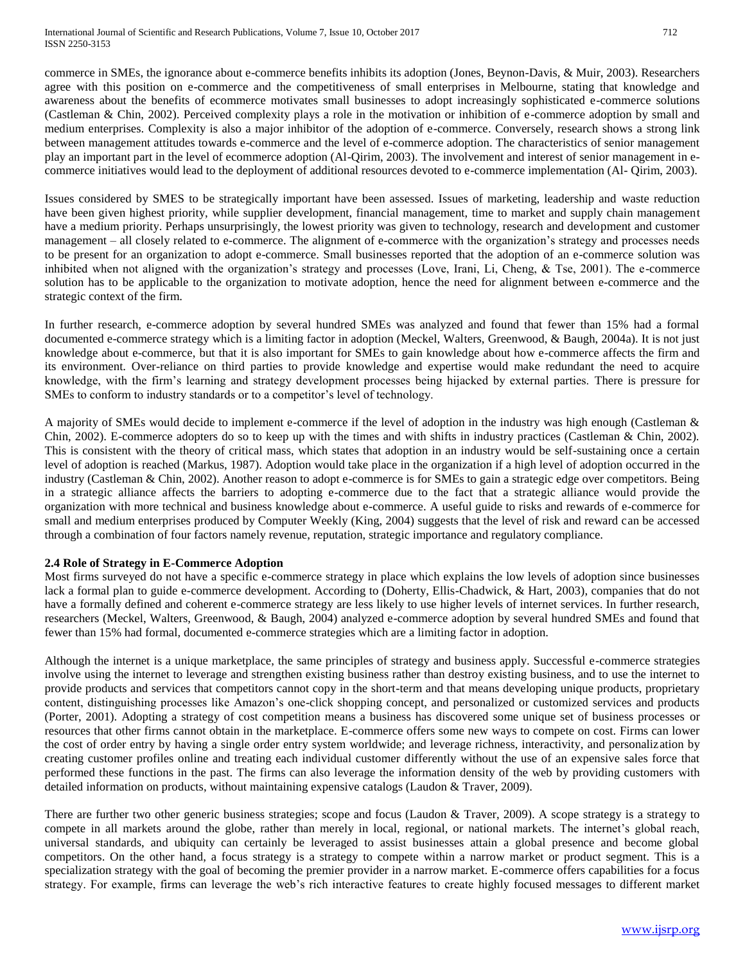commerce in SMEs, the ignorance about e-commerce benefits inhibits its adoption (Jones, Beynon-Davis, & Muir, 2003). Researchers agree with this position on e-commerce and the competitiveness of small enterprises in Melbourne, stating that knowledge and awareness about the benefits of ecommerce motivates small businesses to adopt increasingly sophisticated e-commerce solutions (Castleman & Chin, 2002). Perceived complexity plays a role in the motivation or inhibition of e-commerce adoption by small and medium enterprises. Complexity is also a major inhibitor of the adoption of e-commerce. Conversely, research shows a strong link between management attitudes towards e-commerce and the level of e-commerce adoption. The characteristics of senior management play an important part in the level of ecommerce adoption (Al-Qirim, 2003). The involvement and interest of senior management in ecommerce initiatives would lead to the deployment of additional resources devoted to e-commerce implementation (Al- Qirim, 2003).

Issues considered by SMES to be strategically important have been assessed. Issues of marketing, leadership and waste reduction have been given highest priority, while supplier development, financial management, time to market and supply chain management have a medium priority. Perhaps unsurprisingly, the lowest priority was given to technology, research and development and customer management – all closely related to e-commerce. The alignment of e-commerce with the organization's strategy and processes needs to be present for an organization to adopt e-commerce. Small businesses reported that the adoption of an e-commerce solution was inhibited when not aligned with the organization's strategy and processes (Love, Irani, Li, Cheng, & Tse, 2001). The e-commerce solution has to be applicable to the organization to motivate adoption, hence the need for alignment between e-commerce and the strategic context of the firm.

In further research, e-commerce adoption by several hundred SMEs was analyzed and found that fewer than 15% had a formal documented e-commerce strategy which is a limiting factor in adoption (Meckel, Walters, Greenwood, & Baugh, 2004a). It is not just knowledge about e-commerce, but that it is also important for SMEs to gain knowledge about how e-commerce affects the firm and its environment. Over-reliance on third parties to provide knowledge and expertise would make redundant the need to acquire knowledge, with the firm's learning and strategy development processes being hijacked by external parties. There is pressure for SMEs to conform to industry standards or to a competitor's level of technology.

A majority of SMEs would decide to implement e-commerce if the level of adoption in the industry was high enough (Castleman & Chin, 2002). E-commerce adopters do so to keep up with the times and with shifts in industry practices (Castleman & Chin, 2002). This is consistent with the theory of critical mass, which states that adoption in an industry would be self-sustaining once a certain level of adoption is reached (Markus, 1987). Adoption would take place in the organization if a high level of adoption occurred in the industry (Castleman & Chin, 2002). Another reason to adopt e-commerce is for SMEs to gain a strategic edge over competitors. Being in a strategic alliance affects the barriers to adopting e-commerce due to the fact that a strategic alliance would provide the organization with more technical and business knowledge about e-commerce. A useful guide to risks and rewards of e-commerce for small and medium enterprises produced by Computer Weekly (King, 2004) suggests that the level of risk and reward can be accessed through a combination of four factors namely revenue, reputation, strategic importance and regulatory compliance.

## **2.4 Role of Strategy in E-Commerce Adoption**

Most firms surveyed do not have a specific e-commerce strategy in place which explains the low levels of adoption since businesses lack a formal plan to guide e-commerce development. According to (Doherty, Ellis-Chadwick, & Hart, 2003), companies that do not have a formally defined and coherent e-commerce strategy are less likely to use higher levels of internet services. In further research, researchers (Meckel, Walters, Greenwood, & Baugh, 2004) analyzed e-commerce adoption by several hundred SMEs and found that fewer than 15% had formal, documented e-commerce strategies which are a limiting factor in adoption.

Although the internet is a unique marketplace, the same principles of strategy and business apply. Successful e-commerce strategies involve using the internet to leverage and strengthen existing business rather than destroy existing business, and to use the internet to provide products and services that competitors cannot copy in the short-term and that means developing unique products, proprietary content, distinguishing processes like Amazon's one-click shopping concept, and personalized or customized services and products (Porter, 2001). Adopting a strategy of cost competition means a business has discovered some unique set of business processes or resources that other firms cannot obtain in the marketplace. E-commerce offers some new ways to compete on cost. Firms can lower the cost of order entry by having a single order entry system worldwide; and leverage richness, interactivity, and personalization by creating customer profiles online and treating each individual customer differently without the use of an expensive sales force that performed these functions in the past. The firms can also leverage the information density of the web by providing customers with detailed information on products, without maintaining expensive catalogs (Laudon & Traver, 2009).

There are further two other generic business strategies; scope and focus (Laudon & Traver, 2009). A scope strategy is a strategy to compete in all markets around the globe, rather than merely in local, regional, or national markets. The internet's global reach, universal standards, and ubiquity can certainly be leveraged to assist businesses attain a global presence and become global competitors. On the other hand, a focus strategy is a strategy to compete within a narrow market or product segment. This is a specialization strategy with the goal of becoming the premier provider in a narrow market. E-commerce offers capabilities for a focus strategy. For example, firms can leverage the web's rich interactive features to create highly focused messages to different market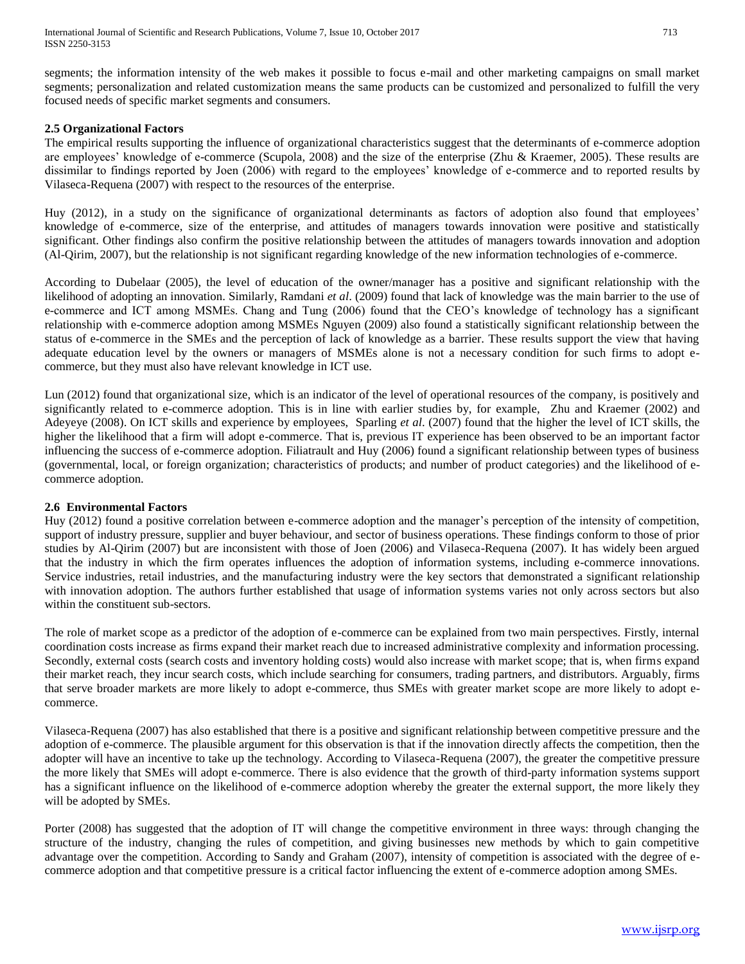segments; the information intensity of the web makes it possible to focus e-mail and other marketing campaigns on small market segments; personalization and related customization means the same products can be customized and personalized to fulfill the very focused needs of specific market segments and consumers.

#### **2.5 Organizational Factors**

The empirical results supporting the influence of organizational characteristics suggest that the determinants of e-commerce adoption are employees' knowledge of e-commerce (Scupola, 2008) and the size of the enterprise (Zhu & Kraemer, 2005). These results are dissimilar to findings reported by Joen (2006) with regard to the employees' knowledge of e-commerce and to reported results by Vilaseca-Requena (2007) with respect to the resources of the enterprise.

Huy (2012), in a study on the significance of organizational determinants as factors of adoption also found that employees' knowledge of e-commerce, size of the enterprise, and attitudes of managers towards innovation were positive and statistically significant. Other findings also confirm the positive relationship between the attitudes of managers towards innovation and adoption (Al-Qirim, 2007), but the relationship is not significant regarding knowledge of the new information technologies of e-commerce.

According to Dubelaar (2005), the level of education of the owner/manager has a positive and significant relationship with the likelihood of adopting an innovation. Similarly, Ramdani *et al*. (2009) found that lack of knowledge was the main barrier to the use of e-commerce and ICT among MSMEs. Chang and Tung (2006) found that the CEO's knowledge of technology has a significant relationship with e-commerce adoption among MSMEs Nguyen (2009) also found a statistically significant relationship between the status of e-commerce in the SMEs and the perception of lack of knowledge as a barrier. These results support the view that having adequate education level by the owners or managers of MSMEs alone is not a necessary condition for such firms to adopt ecommerce, but they must also have relevant knowledge in ICT use.

[Lun \(2012\)](http://scialert.net/fulltext/?doi=itj.2012.1664.1676&org=11#925436_ja) found that organizational size, which is an indicator of the level of operational resources of the company, is positively and significantly related to e-commerce adoption. This is in line with earlier studies by, for example, [Zhu and](http://scialert.net/fulltext/?doi=itj.2012.1664.1676&org=11#641575_ja) [Kraemer \(2002\)](http://scialert.net/fulltext/?doi=itj.2012.1664.1676&org=11#641575_ja) and Adeyeye (2008). On ICT skills and experience by employees, [Sparling](http://scialert.net/fulltext/?doi=itj.2012.1664.1676&org=11#39454_con) *et al*. (2007) found that the higher the level of ICT skills, the higher the likelihood that a firm will adopt e-commerce. That is, previous IT experience has been observed to be an important factor influencing the success of e-commerce adoption. Filiatrault and Huy (2006) found a significant relationship between types of business (governmental, local, or foreign organization; characteristics of products; and number of product categories) and the likelihood of ecommerce adoption.

#### **2.6 Environmental Factors**

Huy (2012) found a positive correlation between e-commerce adoption and the manager's perception of the intensity of competition, support of industry pressure, supplier and buyer behaviour, and sector of business operations. These findings conform to those of prior studies by Al-Qirim (2007) but are inconsistent with those of Joen (2006) and Vilaseca-Requena (2007). It has widely been argued that the industry in which the firm operates influences the adoption of information systems, including e-commerce innovations. Service industries, retail industries, and the manufacturing industry were the key sectors that demonstrated a significant relationship with innovation adoption. The authors further established that usage of information systems varies not only across sectors but also within the constituent sub-sectors.

The role of market scope as a predictor of the adoption of e-commerce can be explained from two main perspectives. Firstly, internal coordination costs increase as firms expand their market reach due to increased administrative complexity and information processing. Secondly, external costs (search costs and inventory holding costs) would also increase with market scope; that is, when firms expand their market reach, they incur search costs, which include searching for consumers, trading partners, and distributors. Arguably, firms that serve broader markets are more likely to adopt e-commerce, thus SMEs with greater market scope are more likely to adopt ecommerce.

Vilaseca-Requena (2007) has also established that there is a positive and significant relationship between competitive pressure and the adoption of e-commerce. The plausible argument for this observation is that if the innovation directly affects the competition, then the adopter will have an incentive to take up the technology. According to Vilaseca-Requena (2007), the greater the competitive pressure the more likely that SMEs will adopt e-commerce. There is also evidence that the growth of third-party information systems support has a significant influence on the likelihood of e-commerce adoption whereby the greater the external support, the more likely they will be adopted by SMEs.

Porter (2008) has suggested that the adoption of IT will change the competitive environment in three ways: through changing the structure of the industry, changing the rules of competition, and giving businesses new methods by which to gain competitive advantage over the competition. According to Sandy and Graham (2007), intensity of competition is associated with the degree of ecommerce adoption and that competitive pressure is a critical factor influencing the extent of e-commerce adoption among SMEs.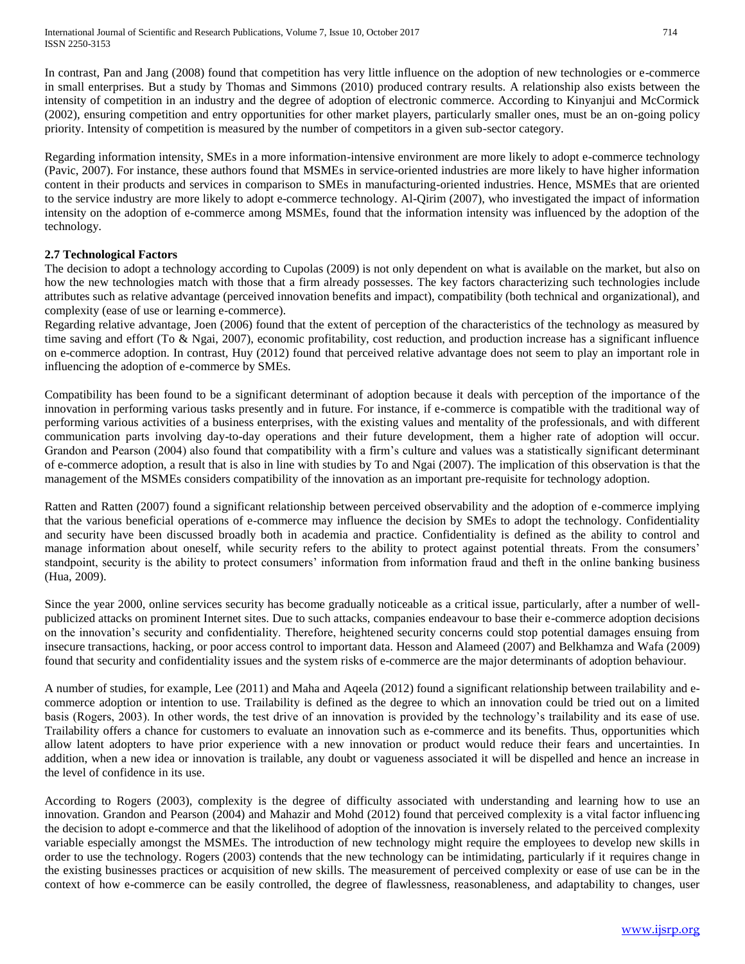In contrast, Pan and Jang (2008) found that competition has very little influence on the adoption of new technologies or e-commerce in small enterprises. But a study by Thomas and Simmons (2010) produced contrary results. A relationship also exists between the intensity of competition in an industry and the degree of adoption of electronic commerce. According to Kinyanjui and McCormick (2002), ensuring competition and entry opportunities for other market players, particularly smaller ones, must be an on-going policy priority. Intensity of competition is measured by the number of competitors in a given sub-sector category.

Regarding information intensity, SMEs in a more information-intensive environment are more likely to adopt e-commerce technology (Pavic, 2007). For instance, these authors found that MSMEs in service-oriented industries are more likely to have higher information content in their products and services in comparison to SMEs in manufacturing-oriented industries. Hence, MSMEs that are oriented to the service industry are more likely to adopt e-commerce technology. Al-Qirim (2007), who investigated the impact of information intensity on the adoption of e-commerce among MSMEs, found that the information intensity was influenced by the adoption of the technology.

## **2.7 Technological Factors**

The decision to adopt a technology according to Cupolas (2009) is not only dependent on what is available on the market, but also on how the new technologies match with those that a firm already possesses. The key factors characterizing such technologies include attributes such as relative advantage (perceived innovation benefits and impact), compatibility (both technical and organizational), and complexity (ease of use or learning e-commerce).

Regarding relative advantage, Joen (2006) found that the extent of perception of the characteristics of the technology as measured by time saving and effort (To & Ngai, 2007), economic profitability, cost reduction, and production increase has a significant influence on e-commerce adoption. In contrast, Huy (2012) found that perceived relative advantage does not seem to play an important role in influencing the adoption of e-commerce by SMEs.

Compatibility has been found to be a significant determinant of adoption because it deals with perception of the importance of the innovation in performing various tasks presently and in future. For instance, if e-commerce is compatible with the traditional way of performing various activities of a business enterprises, with the existing values and mentality of the professionals, and with different communication parts involving day-to-day operations and their future development, them a higher rate of adoption will occur. Grandon and Pearson (2004) also found that compatibility with a firm's culture and values was a statistically significant determinant of e-commerce adoption, a result that is also in line with studies by To and Ngai (2007). The implication of this observation is that the management of the MSMEs considers compatibility of the innovation as an important pre-requisite for technology adoption.

Ratten and Ratten (2007) found a significant relationship between perceived observability and the adoption of e-commerce implying that the various beneficial operations of e-commerce may influence the decision by SMEs to adopt the technology. Confidentiality and security have been discussed broadly both in academia and practice. Confidentiality is defined as the ability to control and manage information about oneself, while security refers to the ability to protect against potential threats. From the consumers' standpoint, security is the ability to protect consumers' information from information fraud and theft in the online banking business (Hua, 2009).

Since the year 2000, online services security has become gradually noticeable as a critical issue, particularly, after a number of wellpublicized attacks on prominent Internet sites. Due to such attacks, companies endeavour to base their e-commerce adoption decisions on the innovation's security and confidentiality. Therefore, heightened security concerns could stop potential damages ensuing from insecure transactions, hacking, or poor access control to important data. Hesson and Alameed (2007) and Belkhamza and Wafa (2009) found that security and confidentiality issues and the system risks of e-commerce are the major determinants of adoption behaviour.

A number of studies, for example, Lee (2011) and Maha and Aqeela (2012) found a significant relationship between trailability and ecommerce adoption or intention to use. Trailability is defined as the degree to which an innovation could be tried out on a limited basis (Rogers, 2003). In other words, the test drive of an innovation is provided by the technology's trailability and its ease of use. Trailability offers a chance for customers to evaluate an innovation such as e-commerce and its benefits. Thus, opportunities which allow latent adopters to have prior experience with a new innovation or product would reduce their fears and uncertainties. In addition, when a new idea or innovation is trailable, any doubt or vagueness associated it will be dispelled and hence an increase in the level of confidence in its use.

According to Rogers (2003), complexity is the degree of difficulty associated with understanding and learning how to use an innovation. Grandon and Pearson (2004) and Mahazir and Mohd (2012) found that perceived complexity is a vital factor influencing the decision to adopt e-commerce and that the likelihood of adoption of the innovation is inversely related to the perceived complexity variable especially amongst the MSMEs. The introduction of new technology might require the employees to develop new skills in order to use the technology. Rogers (2003) contends that the new technology can be intimidating, particularly if it requires change in the existing businesses practices or acquisition of new skills. The measurement of perceived complexity or ease of use can be in the context of how e-commerce can be easily controlled, the degree of flawlessness, reasonableness, and adaptability to changes, user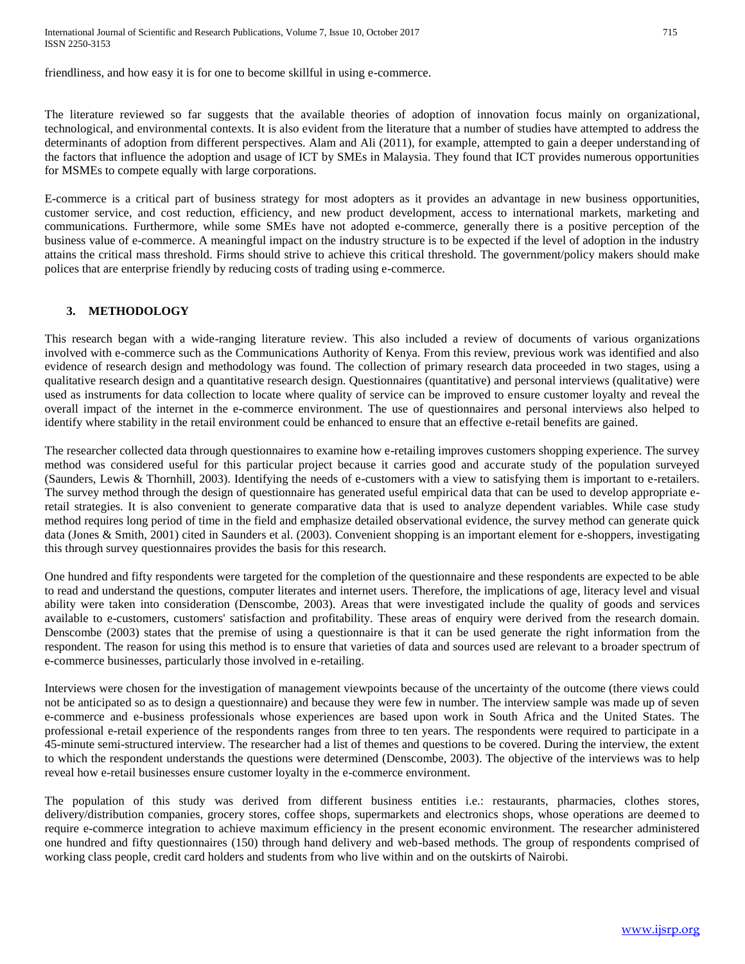International Journal of Scientific and Research Publications, Volume 7, Issue 10, October 2017 715 ISSN 2250-3153

friendliness, and how easy it is for one to become skillful in using e-commerce.

The literature reviewed so far suggests that the available theories of adoption of innovation focus mainly on organizational, technological, and environmental contexts. It is also evident from the literature that a number of studies have attempted to address the determinants of adoption from different perspectives. Alam and Ali (2011), for example, attempted to gain a deeper understanding of the factors that influence the adoption and usage of ICT by SMEs in Malaysia. They found that ICT provides numerous opportunities for MSMEs to compete equally with large corporations.

E-commerce is a critical part of business strategy for most adopters as it provides an advantage in new business opportunities, customer service, and cost reduction, efficiency, and new product development, access to international markets, marketing and communications. Furthermore, while some SMEs have not adopted e-commerce, generally there is a positive perception of the business value of e-commerce. A meaningful impact on the industry structure is to be expected if the level of adoption in the industry attains the critical mass threshold. Firms should strive to achieve this critical threshold. The government/policy makers should make polices that are enterprise friendly by reducing costs of trading using e-commerce.

#### **3. METHODOLOGY**

This research began with a wide-ranging literature review. This also included a review of documents of various organizations involved with e-commerce such as the Communications Authority of Kenya. From this review, previous work was identified and also evidence of research design and methodology was found. The collection of primary research data proceeded in two stages, using a qualitative research design and a quantitative research design. Questionnaires (quantitative) and personal interviews (qualitative) were used as instruments for data collection to locate where quality of service can be improved to ensure customer loyalty and reveal the overall impact of the internet in the e-commerce environment. The use of questionnaires and personal interviews also helped to identify where stability in the retail environment could be enhanced to ensure that an effective e-retail benefits are gained.

The researcher collected data through questionnaires to examine how e-retailing improves customers shopping experience. The survey method was considered useful for this particular project because it carries good and accurate study of the population surveyed (Saunders, Lewis & Thornhill, 2003). Identifying the needs of e-customers with a view to satisfying them is important to e-retailers. The survey method through the design of questionnaire has generated useful empirical data that can be used to develop appropriate eretail strategies. It is also convenient to generate comparative data that is used to analyze dependent variables. While case study method requires long period of time in the field and emphasize detailed observational evidence, the survey method can generate quick data (Jones & Smith, 2001) cited in Saunders et al. (2003). Convenient shopping is an important element for e-shoppers, investigating this through survey questionnaires provides the basis for this research.

One hundred and fifty respondents were targeted for the completion of the questionnaire and these respondents are expected to be able to read and understand the questions, computer literates and internet users. Therefore, the implications of age, literacy level and visual ability were taken into consideration (Denscombe, 2003). Areas that were investigated include the quality of goods and services available to e-customers, customers' satisfaction and profitability. These areas of enquiry were derived from the research domain. Denscombe (2003) states that the premise of using a questionnaire is that it can be used generate the right information from the respondent. The reason for using this method is to ensure that varieties of data and sources used are relevant to a broader spectrum of e-commerce businesses, particularly those involved in e-retailing.

Interviews were chosen for the investigation of management viewpoints because of the uncertainty of the outcome (there views could not be anticipated so as to design a questionnaire) and because they were few in number. The interview sample was made up of seven e-commerce and e-business professionals whose experiences are based upon work in South Africa and the United States. The professional e-retail experience of the respondents ranges from three to ten years. The respondents were required to participate in a 45-minute semi-structured interview. The researcher had a list of themes and questions to be covered. During the interview, the extent to which the respondent understands the questions were determined (Denscombe, 2003). The objective of the interviews was to help reveal how e-retail businesses ensure customer loyalty in the e-commerce environment.

The population of this study was derived from different business entities i.e.: restaurants, pharmacies, clothes stores, delivery/distribution companies, grocery stores, coffee shops, supermarkets and electronics shops, whose operations are deemed to require e-commerce integration to achieve maximum efficiency in the present economic environment. The researcher administered one hundred and fifty questionnaires (150) through hand delivery and web-based methods. The group of respondents comprised of working class people, credit card holders and students from who live within and on the outskirts of Nairobi.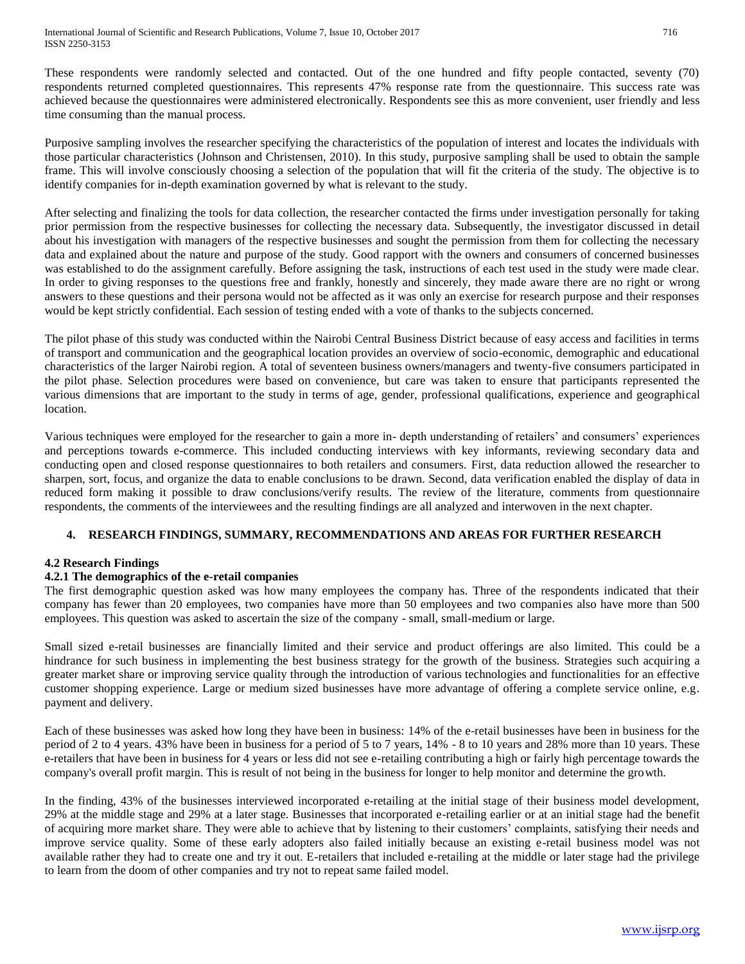These respondents were randomly selected and contacted. Out of the one hundred and fifty people contacted, seventy (70) respondents returned completed questionnaires. This represents 47% response rate from the questionnaire. This success rate was achieved because the questionnaires were administered electronically. Respondents see this as more convenient, user friendly and less time consuming than the manual process.

Purposive sampling involves the researcher specifying the characteristics of the population of interest and locates the individuals with those particular characteristics (Johnson and Christensen, 2010). In this study, purposive sampling shall be used to obtain the sample frame. This will involve consciously choosing a selection of the population that will fit the criteria of the study. The objective is to identify companies for in-depth examination governed by what is relevant to the study.

After selecting and finalizing the tools for data collection, the researcher contacted the firms under investigation personally for taking prior permission from the respective businesses for collecting the necessary data. Subsequently, the investigator discussed in detail about his investigation with managers of the respective businesses and sought the permission from them for collecting the necessary data and explained about the nature and purpose of the study. Good rapport with the owners and consumers of concerned businesses was established to do the assignment carefully. Before assigning the task, instructions of each test used in the study were made clear. In order to giving responses to the questions free and frankly, honestly and sincerely, they made aware there are no right or wrong answers to these questions and their persona would not be affected as it was only an exercise for research purpose and their responses would be kept strictly confidential. Each session of testing ended with a vote of thanks to the subjects concerned.

The pilot phase of this study was conducted within the Nairobi Central Business District because of easy access and facilities in terms of transport and communication and the geographical location provides an overview of socio-economic, demographic and educational characteristics of the larger Nairobi region. A total of seventeen business owners/managers and twenty-five consumers participated in the pilot phase. Selection procedures were based on convenience, but care was taken to ensure that participants represented the various dimensions that are important to the study in terms of age, gender, professional qualifications, experience and geographical location.

Various techniques were employed for the researcher to gain a more in- depth understanding of retailers' and consumers' experiences and perceptions towards e-commerce. This included conducting interviews with key informants, reviewing secondary data and conducting open and closed response questionnaires to both retailers and consumers. First, data reduction allowed the researcher to sharpen, sort, focus, and organize the data to enable conclusions to be drawn. Second, data verification enabled the display of data in reduced form making it possible to draw conclusions/verify results. The review of the literature, comments from questionnaire respondents, the comments of the interviewees and the resulting findings are all analyzed and interwoven in the next chapter.

## **4. RESEARCH FINDINGS, SUMMARY, RECOMMENDATIONS AND AREAS FOR FURTHER RESEARCH**

## **4.2 Research Findings**

## **4.2.1 The demographics of the e-retail companies**

The first demographic question asked was how many employees the company has. Three of the respondents indicated that their company has fewer than 20 employees, two companies have more than 50 employees and two companies also have more than 500 employees. This question was asked to ascertain the size of the company - small, small-medium or large.

Small sized e-retail businesses are financially limited and their service and product offerings are also limited. This could be a hindrance for such business in implementing the best business strategy for the growth of the business. Strategies such acquiring a greater market share or improving service quality through the introduction of various technologies and functionalities for an effective customer shopping experience. Large or medium sized businesses have more advantage of offering a complete service online, e.g. payment and delivery.

Each of these businesses was asked how long they have been in business: 14% of the e-retail businesses have been in business for the period of 2 to 4 years. 43% have been in business for a period of 5 to 7 years, 14% - 8 to 10 years and 28% more than 10 years. These e-retailers that have been in business for 4 years or less did not see e-retailing contributing a high or fairly high percentage towards the company's overall profit margin. This is result of not being in the business for longer to help monitor and determine the growth.

In the finding, 43% of the businesses interviewed incorporated e-retailing at the initial stage of their business model development, 29% at the middle stage and 29% at a later stage. Businesses that incorporated e-retailing earlier or at an initial stage had the benefit of acquiring more market share. They were able to achieve that by listening to their customers' complaints, satisfying their needs and improve service quality. Some of these early adopters also failed initially because an existing e-retail business model was not available rather they had to create one and try it out. E-retailers that included e-retailing at the middle or later stage had the privilege to learn from the doom of other companies and try not to repeat same failed model.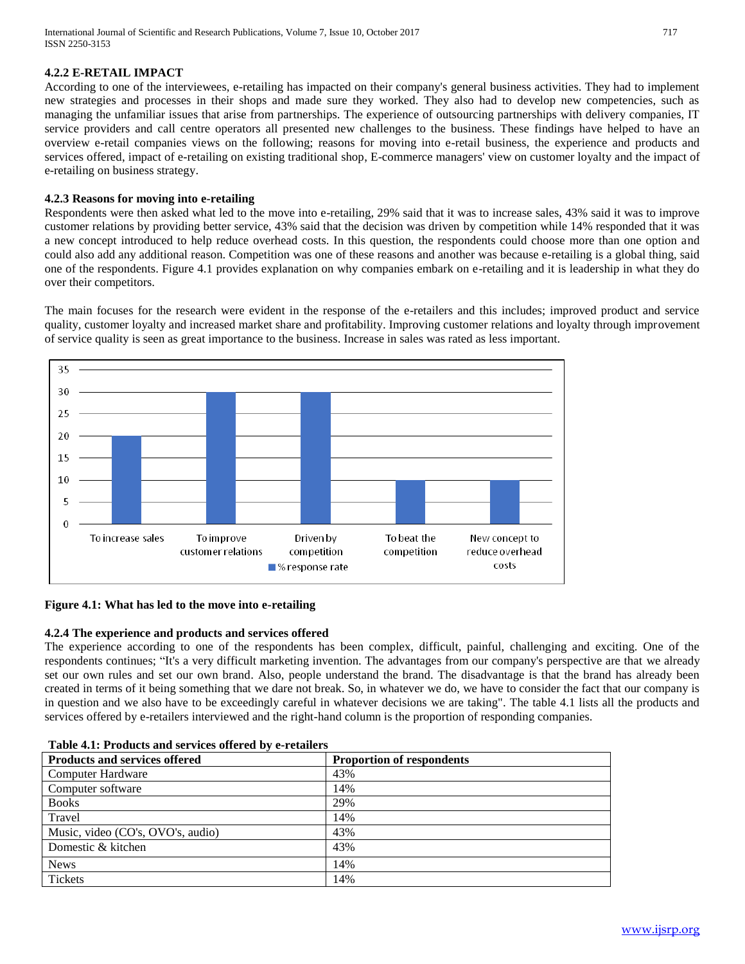## **4.2.2 E-RETAIL IMPACT**

According to one of the interviewees, e-retailing has impacted on their company's general business activities. They had to implement new strategies and processes in their shops and made sure they worked. They also had to develop new competencies, such as managing the unfamiliar issues that arise from partnerships. The experience of outsourcing partnerships with delivery companies, IT service providers and call centre operators all presented new challenges to the business. These findings have helped to have an overview e-retail companies views on the following; reasons for moving into e-retail business, the experience and products and services offered, impact of e-retailing on existing traditional shop, E-commerce managers' view on customer loyalty and the impact of e-retailing on business strategy.

#### **4.2.3 Reasons for moving into e-retailing**

Respondents were then asked what led to the move into e-retailing, 29% said that it was to increase sales, 43% said it was to improve customer relations by providing better service, 43% said that the decision was driven by competition while 14% responded that it was a new concept introduced to help reduce overhead costs. In this question, the respondents could choose more than one option and could also add any additional reason. Competition was one of these reasons and another was because e-retailing is a global thing, said one of the respondents. Figure 4.1 provides explanation on why companies embark on e-retailing and it is leadership in what they do over their competitors.

The main focuses for the research were evident in the response of the e-retailers and this includes; improved product and service quality, customer loyalty and increased market share and profitability. Improving customer relations and loyalty through improvement of service quality is seen as great importance to the business. Increase in sales was rated as less important.



#### **Figure 4.1: What has led to the move into e-retailing**

#### **4.2.4 The experience and products and services offered**

The experience according to one of the respondents has been complex, difficult, painful, challenging and exciting. One of the respondents continues; "It's a very difficult marketing invention. The advantages from our company's perspective are that we already set our own rules and set our own brand. Also, people understand the brand. The disadvantage is that the brand has already been created in terms of it being something that we dare not break. So, in whatever we do, we have to consider the fact that our company is in question and we also have to be exceedingly careful in whatever decisions we are taking". The table 4.1 lists all the products and services offered by e-retailers interviewed and the right-hand column is the proportion of responding companies.

| Table 4.1: Products and services offered by e-retailers |  |  |
|---------------------------------------------------------|--|--|
|---------------------------------------------------------|--|--|

| <b>Products and services offered</b> | <b>Proportion of respondents</b> |
|--------------------------------------|----------------------------------|
| <b>Computer Hardware</b>             | 43%                              |
| Computer software                    | 14%                              |
| <b>Books</b>                         | 29%                              |
| Travel                               | 14%                              |
| Music, video (CO's, OVO's, audio)    | 43%                              |
| Domestic & kitchen                   | 43%                              |
| <b>News</b>                          | 14%                              |
| Tickets                              | 14%                              |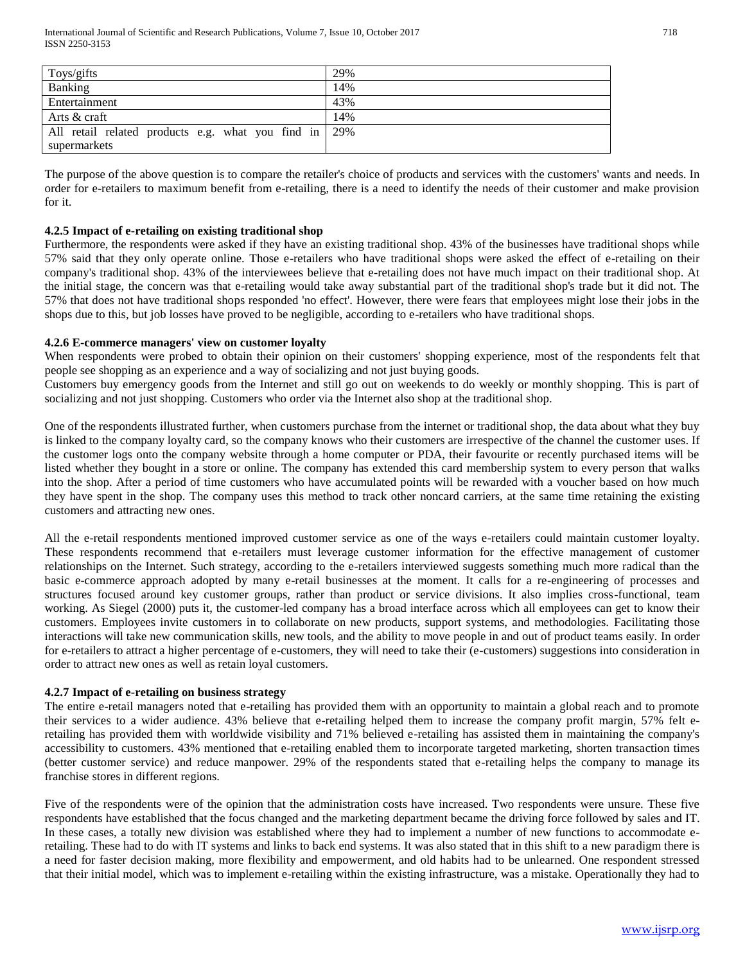| Toys/gifts                                            | 29% |
|-------------------------------------------------------|-----|
| Banking                                               | 14% |
| Entertainment                                         | 43% |
| Arts & craft                                          | 14% |
| All retail related products e.g. what you find in 29% |     |
| supermarkets                                          |     |

The purpose of the above question is to compare the retailer's choice of products and services with the customers' wants and needs. In order for e-retailers to maximum benefit from e-retailing, there is a need to identify the needs of their customer and make provision for it.

#### **4.2.5 Impact of e-retailing on existing traditional shop**

Furthermore, the respondents were asked if they have an existing traditional shop. 43% of the businesses have traditional shops while 57% said that they only operate online. Those e-retailers who have traditional shops were asked the effect of e-retailing on their company's traditional shop. 43% of the interviewees believe that e-retailing does not have much impact on their traditional shop. At the initial stage, the concern was that e-retailing would take away substantial part of the traditional shop's trade but it did not. The 57% that does not have traditional shops responded 'no effect'. However, there were fears that employees might lose their jobs in the shops due to this, but job losses have proved to be negligible, according to e-retailers who have traditional shops.

#### **4.2.6 E-commerce managers' view on customer loyalty**

When respondents were probed to obtain their opinion on their customers' shopping experience, most of the respondents felt that people see shopping as an experience and a way of socializing and not just buying goods.

Customers buy emergency goods from the Internet and still go out on weekends to do weekly or monthly shopping. This is part of socializing and not just shopping. Customers who order via the Internet also shop at the traditional shop.

One of the respondents illustrated further, when customers purchase from the internet or traditional shop, the data about what they buy is linked to the company loyalty card, so the company knows who their customers are irrespective of the channel the customer uses. If the customer logs onto the company website through a home computer or PDA, their favourite or recently purchased items will be listed whether they bought in a store or online. The company has extended this card membership system to every person that walks into the shop. After a period of time customers who have accumulated points will be rewarded with a voucher based on how much they have spent in the shop. The company uses this method to track other noncard carriers, at the same time retaining the existing customers and attracting new ones.

All the e-retail respondents mentioned improved customer service as one of the ways e-retailers could maintain customer loyalty. These respondents recommend that e-retailers must leverage customer information for the effective management of customer relationships on the Internet. Such strategy, according to the e-retailers interviewed suggests something much more radical than the basic e-commerce approach adopted by many e-retail businesses at the moment. It calls for a re-engineering of processes and structures focused around key customer groups, rather than product or service divisions. It also implies cross-functional, team working. As Siegel (2000) puts it, the customer-led company has a broad interface across which all employees can get to know their customers. Employees invite customers in to collaborate on new products, support systems, and methodologies. Facilitating those interactions will take new communication skills, new tools, and the ability to move people in and out of product teams easily. In order for e-retailers to attract a higher percentage of e-customers, they will need to take their (e-customers) suggestions into consideration in order to attract new ones as well as retain loyal customers.

#### **4.2.7 Impact of e-retailing on business strategy**

The entire e-retail managers noted that e-retailing has provided them with an opportunity to maintain a global reach and to promote their services to a wider audience. 43% believe that e-retailing helped them to increase the company profit margin, 57% felt eretailing has provided them with worldwide visibility and 71% believed e-retailing has assisted them in maintaining the company's accessibility to customers. 43% mentioned that e-retailing enabled them to incorporate targeted marketing, shorten transaction times (better customer service) and reduce manpower. 29% of the respondents stated that e-retailing helps the company to manage its franchise stores in different regions.

Five of the respondents were of the opinion that the administration costs have increased. Two respondents were unsure. These five respondents have established that the focus changed and the marketing department became the driving force followed by sales and IT. In these cases, a totally new division was established where they had to implement a number of new functions to accommodate eretailing. These had to do with IT systems and links to back end systems. It was also stated that in this shift to a new paradigm there is a need for faster decision making, more flexibility and empowerment, and old habits had to be unlearned. One respondent stressed that their initial model, which was to implement e-retailing within the existing infrastructure, was a mistake. Operationally they had to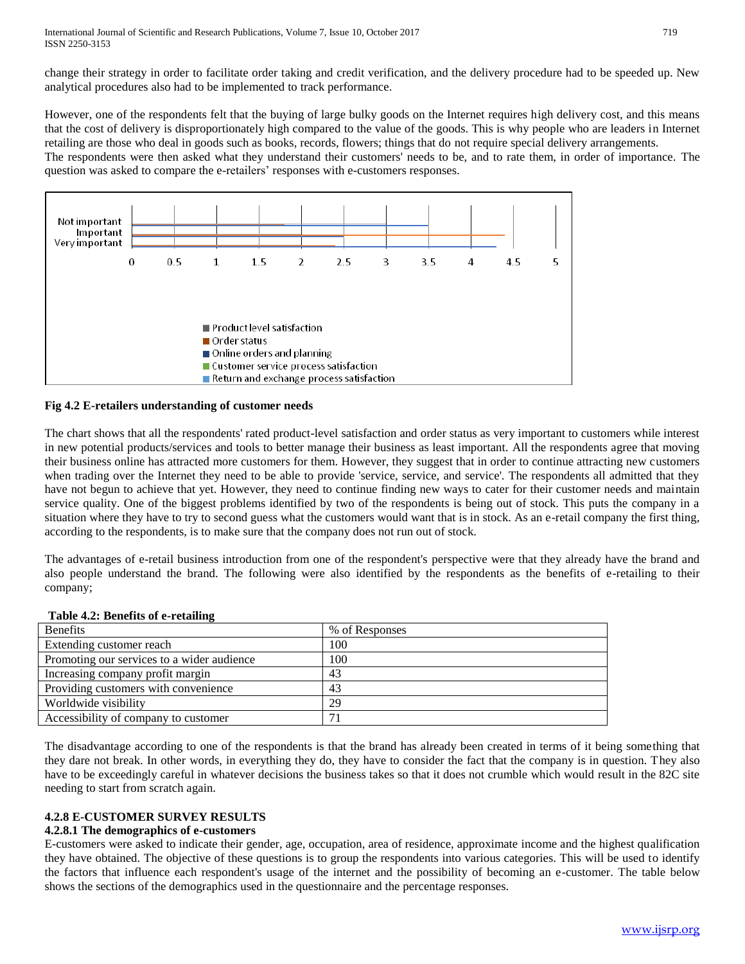change their strategy in order to facilitate order taking and credit verification, and the delivery procedure had to be speeded up. New analytical procedures also had to be implemented to track performance.

However, one of the respondents felt that the buying of large bulky goods on the Internet requires high delivery cost, and this means that the cost of delivery is disproportionately high compared to the value of the goods. This is why people who are leaders in Internet retailing are those who deal in goods such as books, records, flowers; things that do not require special delivery arrangements.

The respondents were then asked what they understand their customers' needs to be, and to rate them, in order of importance. The question was asked to compare the e-retailers' responses with e-customers responses.



#### **Fig 4.2 E-retailers understanding of customer needs**

The chart shows that all the respondents' rated product-level satisfaction and order status as very important to customers while interest in new potential products/services and tools to better manage their business as least important. All the respondents agree that moving their business online has attracted more customers for them. However, they suggest that in order to continue attracting new customers when trading over the Internet they need to be able to provide 'service, service, and service'. The respondents all admitted that they have not begun to achieve that yet. However, they need to continue finding new ways to cater for their customer needs and maintain service quality. One of the biggest problems identified by two of the respondents is being out of stock. This puts the company in a situation where they have to try to second guess what the customers would want that is in stock. As an e-retail company the first thing, according to the respondents, is to make sure that the company does not run out of stock.

The advantages of e-retail business introduction from one of the respondent's perspective were that they already have the brand and also people understand the brand. The following were also identified by the respondents as the benefits of e-retailing to their company;

| % of Responses |
|----------------|
| 100            |
| 100            |
| 43             |
| 43             |
| 29             |
|                |
|                |

#### **Table 4.2: Benefits of e-retailing**

The disadvantage according to one of the respondents is that the brand has already been created in terms of it being something that they dare not break. In other words, in everything they do, they have to consider the fact that the company is in question. They also have to be exceedingly careful in whatever decisions the business takes so that it does not crumble which would result in the 82C site needing to start from scratch again.

## **4.2.8 E-CUSTOMER SURVEY RESULTS**

## **4.2.8.1 The demographics of e-customers**

E-customers were asked to indicate their gender, age, occupation, area of residence, approximate income and the highest qualification they have obtained. The objective of these questions is to group the respondents into various categories. This will be used to identify the factors that influence each respondent's usage of the internet and the possibility of becoming an e-customer. The table below shows the sections of the demographics used in the questionnaire and the percentage responses.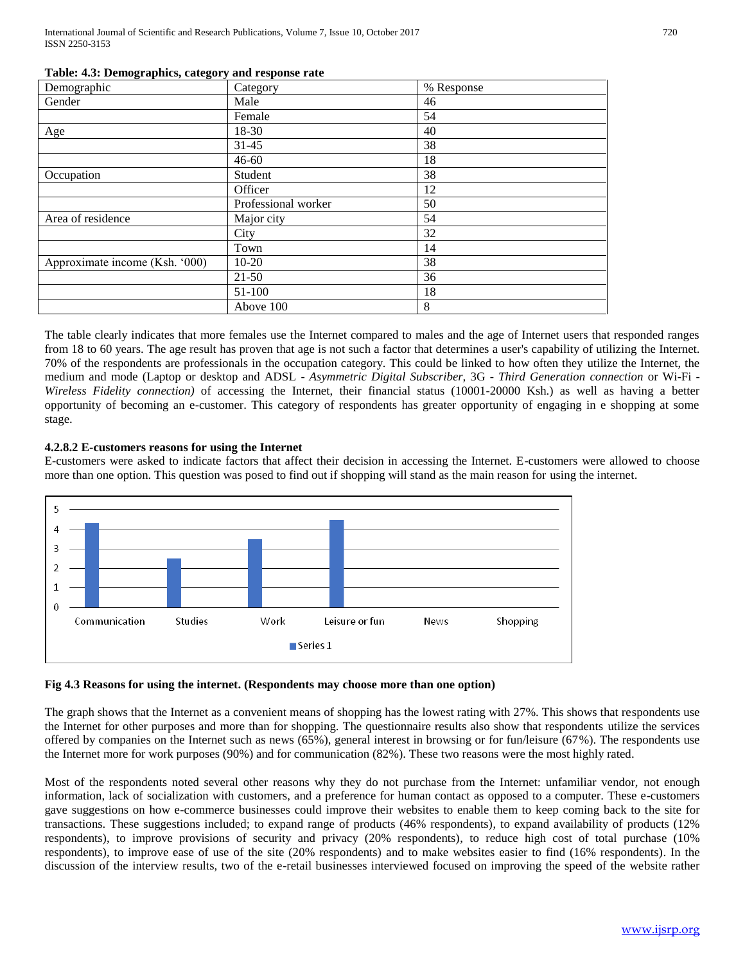International Journal of Scientific and Research Publications, Volume 7, Issue 10, October 2017 720 ISSN 2250-3153

| Demographic                    | Category            | % Response |
|--------------------------------|---------------------|------------|
| Gender                         | Male                | 46         |
|                                | Female              | 54         |
| Age                            | 18-30               | 40         |
|                                | $31 - 45$           | 38         |
|                                | $46 - 60$           | 18         |
| Occupation                     | Student             | 38         |
|                                | Officer             | 12         |
|                                | Professional worker | 50         |
| Area of residence              | Major city          | 54         |
|                                | City                | 32         |
|                                | Town                | 14         |
| Approximate income (Ksh. '000) | $10-20$             | 38         |
|                                | $21 - 50$           | 36         |
|                                | 51-100              | 18         |
|                                | Above 100           | 8          |

#### **Table: 4.3: Demographics, category and response rate**

The table clearly indicates that more females use the Internet compared to males and the age of Internet users that responded ranges from 18 to 60 years. The age result has proven that age is not such a factor that determines a user's capability of utilizing the Internet. 70% of the respondents are professionals in the occupation category. This could be linked to how often they utilize the Internet, the medium and mode (Laptop or desktop and ADSL - *Asymmetric Digital Subscriber,* 3G - *Third Generation connection* or Wi-Fi - *Wireless Fidelity connection)* of accessing the Internet, their financial status (10001-20000 Ksh.) as well as having a better opportunity of becoming an e-customer. This category of respondents has greater opportunity of engaging in e shopping at some stage.

#### **4.2.8.2 E-customers reasons for using the Internet**

E-customers were asked to indicate factors that affect their decision in accessing the Internet. E-customers were allowed to choose more than one option. This question was posed to find out if shopping will stand as the main reason for using the internet.



#### **Fig 4.3 Reasons for using the internet. (Respondents may choose more than one option)**

The graph shows that the Internet as a convenient means of shopping has the lowest rating with 27%. This shows that respondents use the Internet for other purposes and more than for shopping. The questionnaire results also show that respondents utilize the services offered by companies on the Internet such as news (65%), general interest in browsing or for fun/leisure (67%). The respondents use the Internet more for work purposes (90%) and for communication (82%). These two reasons were the most highly rated.

Most of the respondents noted several other reasons why they do not purchase from the Internet: unfamiliar vendor, not enough information, lack of socialization with customers, and a preference for human contact as opposed to a computer. These e-customers gave suggestions on how e-commerce businesses could improve their websites to enable them to keep coming back to the site for transactions. These suggestions included; to expand range of products (46% respondents), to expand availability of products (12% respondents), to improve provisions of security and privacy (20% respondents), to reduce high cost of total purchase (10% respondents), to improve ease of use of the site (20% respondents) and to make websites easier to find (16% respondents). In the discussion of the interview results, two of the e-retail businesses interviewed focused on improving the speed of the website rather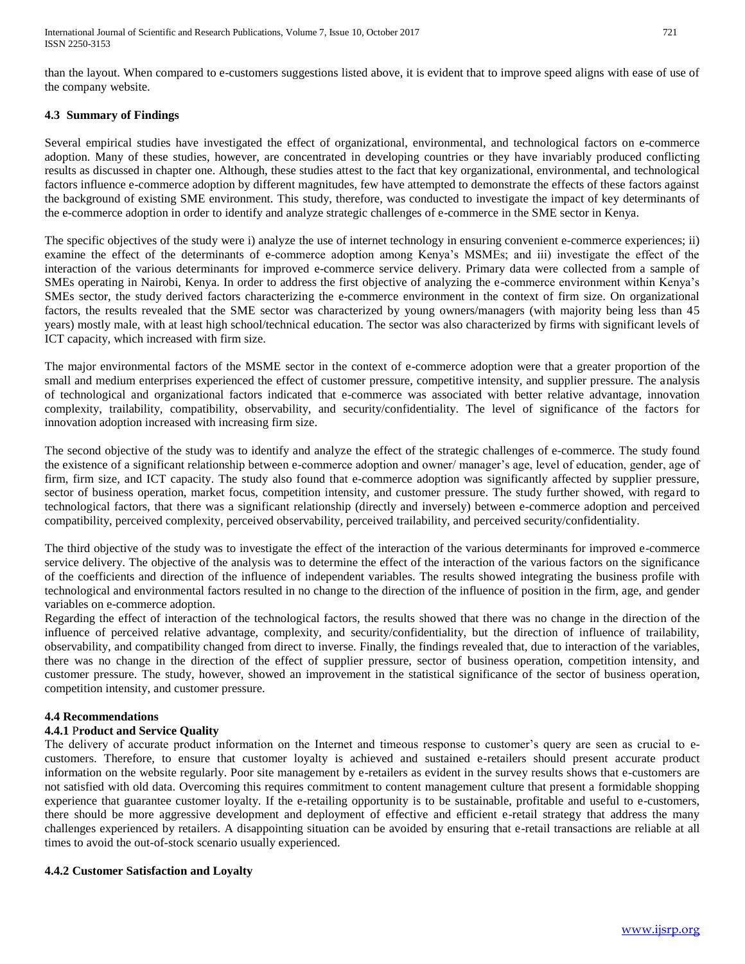than the layout. When compared to e-customers suggestions listed above, it is evident that to improve speed aligns with ease of use of the company website.

## **4.3 Summary of Findings**

Several empirical studies have investigated the effect of organizational, environmental, and technological factors on e-commerce adoption. Many of these studies, however, are concentrated in developing countries or they have invariably produced conflicting results as discussed in chapter one. Although, these studies attest to the fact that key organizational, environmental, and technological factors influence e-commerce adoption by different magnitudes, few have attempted to demonstrate the effects of these factors against the background of existing SME environment. This study, therefore, was conducted to investigate the impact of key determinants of the e-commerce adoption in order to identify and analyze strategic challenges of e-commerce in the SME sector in Kenya.

The specific objectives of the study were i) analyze the use of internet technology in ensuring convenient e-commerce experiences; ii) examine the effect of the determinants of e-commerce adoption among Kenya's MSMEs; and iii) investigate the effect of the interaction of the various determinants for improved e-commerce service delivery. Primary data were collected from a sample of SMEs operating in Nairobi, Kenya. In order to address the first objective of analyzing the e-commerce environment within Kenya's SMEs sector, the study derived factors characterizing the e-commerce environment in the context of firm size. On organizational factors, the results revealed that the SME sector was characterized by young owners/managers (with majority being less than 45 years) mostly male, with at least high school/technical education. The sector was also characterized by firms with significant levels of ICT capacity, which increased with firm size.

The major environmental factors of the MSME sector in the context of e-commerce adoption were that a greater proportion of the small and medium enterprises experienced the effect of customer pressure, competitive intensity, and supplier pressure. The analysis of technological and organizational factors indicated that e-commerce was associated with better relative advantage, innovation complexity, trailability, compatibility, observability, and security/confidentiality. The level of significance of the factors for innovation adoption increased with increasing firm size.

The second objective of the study was to identify and analyze the effect of the strategic challenges of e-commerce. The study found the existence of a significant relationship between e-commerce adoption and owner/ manager's age, level of education, gender, age of firm, firm size, and ICT capacity. The study also found that e-commerce adoption was significantly affected by supplier pressure, sector of business operation, market focus, competition intensity, and customer pressure. The study further showed, with regard to technological factors, that there was a significant relationship (directly and inversely) between e-commerce adoption and perceived compatibility, perceived complexity, perceived observability, perceived trailability, and perceived security/confidentiality.

The third objective of the study was to investigate the effect of the interaction of the various determinants for improved e-commerce service delivery. The objective of the analysis was to determine the effect of the interaction of the various factors on the significance of the coefficients and direction of the influence of independent variables. The results showed integrating the business profile with technological and environmental factors resulted in no change to the direction of the influence of position in the firm, age, and gender variables on e-commerce adoption.

Regarding the effect of interaction of the technological factors, the results showed that there was no change in the direction of the influence of perceived relative advantage, complexity, and security/confidentiality, but the direction of influence of trailability, observability, and compatibility changed from direct to inverse. Finally, the findings revealed that, due to interaction of the variables, there was no change in the direction of the effect of supplier pressure, sector of business operation, competition intensity, and customer pressure. The study, however, showed an improvement in the statistical significance of the sector of business operation, competition intensity, and customer pressure.

## **4.4 Recommendations**

## **4.4.1** P**roduct and Service Quality**

The delivery of accurate product information on the Internet and timeous response to customer's query are seen as crucial to ecustomers. Therefore, to ensure that customer loyalty is achieved and sustained e-retailers should present accurate product information on the website regularly. Poor site management by e-retailers as evident in the survey results shows that e-customers are not satisfied with old data. Overcoming this requires commitment to content management culture that present a formidable shopping experience that guarantee customer loyalty. If the e-retailing opportunity is to be sustainable, profitable and useful to e-customers, there should be more aggressive development and deployment of effective and efficient e-retail strategy that address the many challenges experienced by retailers. A disappointing situation can be avoided by ensuring that e-retail transactions are reliable at all times to avoid the out-of-stock scenario usually experienced.

## **4.4.2 Customer Satisfaction and Loyalty**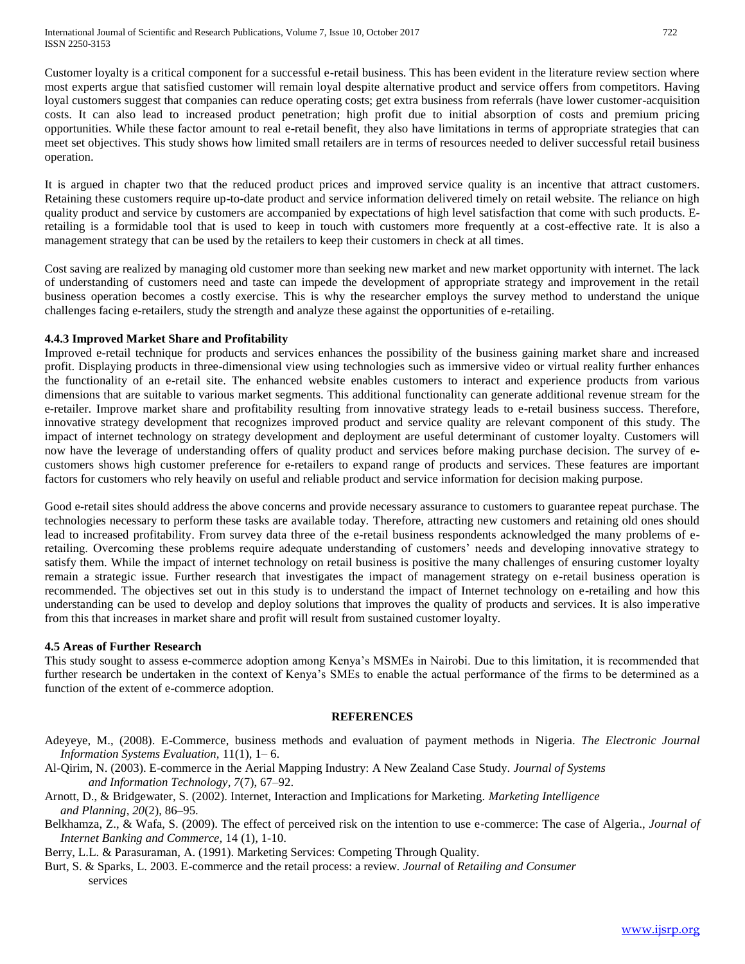Customer loyalty is a critical component for a successful e-retail business. This has been evident in the literature review section where most experts argue that satisfied customer will remain loyal despite alternative product and service offers from competitors. Having loyal customers suggest that companies can reduce operating costs; get extra business from referrals (have lower customer-acquisition costs. It can also lead to increased product penetration; high profit due to initial absorption of costs and premium pricing opportunities. While these factor amount to real e-retail benefit, they also have limitations in terms of appropriate strategies that can meet set objectives. This study shows how limited small retailers are in terms of resources needed to deliver successful retail business operation.

It is argued in chapter two that the reduced product prices and improved service quality is an incentive that attract customers. Retaining these customers require up-to-date product and service information delivered timely on retail website. The reliance on high quality product and service by customers are accompanied by expectations of high level satisfaction that come with such products. Eretailing is a formidable tool that is used to keep in touch with customers more frequently at a cost-effective rate. It is also a management strategy that can be used by the retailers to keep their customers in check at all times.

Cost saving are realized by managing old customer more than seeking new market and new market opportunity with internet. The lack of understanding of customers need and taste can impede the development of appropriate strategy and improvement in the retail business operation becomes a costly exercise. This is why the researcher employs the survey method to understand the unique challenges facing e-retailers, study the strength and analyze these against the opportunities of e-retailing.

#### **4.4.3 Improved Market Share and Profitability**

Improved e-retail technique for products and services enhances the possibility of the business gaining market share and increased profit. Displaying products in three-dimensional view using technologies such as immersive video or virtual reality further enhances the functionality of an e-retail site. The enhanced website enables customers to interact and experience products from various dimensions that are suitable to various market segments. This additional functionality can generate additional revenue stream for the e-retailer. Improve market share and profitability resulting from innovative strategy leads to e-retail business success. Therefore, innovative strategy development that recognizes improved product and service quality are relevant component of this study. The impact of internet technology on strategy development and deployment are useful determinant of customer loyalty. Customers will now have the leverage of understanding offers of quality product and services before making purchase decision. The survey of ecustomers shows high customer preference for e-retailers to expand range of products and services. These features are important factors for customers who rely heavily on useful and reliable product and service information for decision making purpose.

Good e-retail sites should address the above concerns and provide necessary assurance to customers to guarantee repeat purchase. The technologies necessary to perform these tasks are available today. Therefore, attracting new customers and retaining old ones should lead to increased profitability. From survey data three of the e-retail business respondents acknowledged the many problems of eretailing. Overcoming these problems require adequate understanding of customers' needs and developing innovative strategy to satisfy them. While the impact of internet technology on retail business is positive the many challenges of ensuring customer loyalty remain a strategic issue. Further research that investigates the impact of management strategy on e-retail business operation is recommended. The objectives set out in this study is to understand the impact of Internet technology on e-retailing and how this understanding can be used to develop and deploy solutions that improves the quality of products and services. It is also imperative from this that increases in market share and profit will result from sustained customer loyalty.

#### **4.5 Areas of Further Research**

This study sought to assess e-commerce adoption among Kenya's MSMEs in Nairobi. Due to this limitation, it is recommended that further research be undertaken in the context of Kenya's SMEs to enable the actual performance of the firms to be determined as a function of the extent of e-commerce adoption.

#### **REFERENCES**

- Adeyeye, M., (2008). E-Commerce, business methods and evaluation of payment methods in Nigeria. *The Electronic Journal Information Systems Evaluation,* 11(1), 1– 6.
- Al-Qirim, N. (2003). E-commerce in the Aerial Mapping Industry: A New Zealand Case Study. *Journal of Systems and Information Technology*, *7*(7), 67–92.
- Arnott, D., & Bridgewater, S. (2002). Internet, Interaction and Implications for Marketing. *Marketing Intelligence and Planning*, *20*(2), 86–95.
- Belkhamza, Z., & Wafa, S. (2009). The effect of perceived risk on the intention to use e-commerce: The case of Algeria., *Journal of Internet Banking and Commerce,* 14 (1), 1-10.

Berry, L.L. & Parasuraman, A. (1991). Marketing Services: Competing Through Quality.

Burt, S. & Sparks, L. 2003. E-commerce and the retail process: a review. *Journal* of *Retailing and Consumer*  services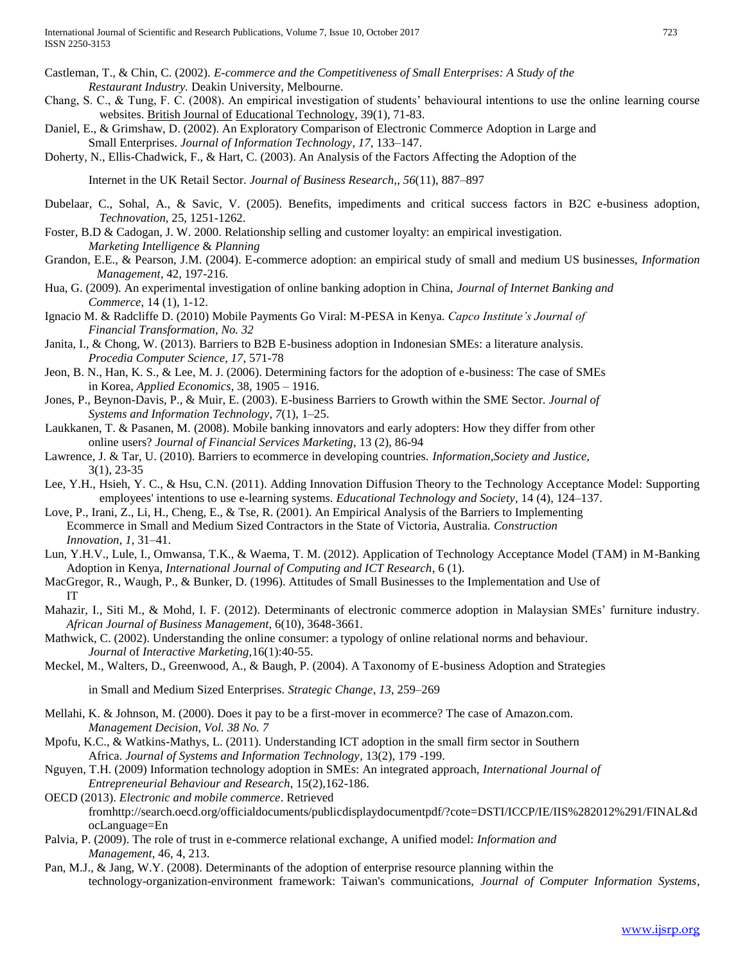- Castleman, T., & Chin, C. (2002). *E-commerce and the Competitiveness of Small Enterprises: A Study of the Restaurant Industry.* Deakin University, Melbourne.
- Chang, S. C., & Tung, F. C. (2008). An empirical investigation of students' behavioural intentions to use the online learning course websites. British Journal of Educational Technology, 39(1), 71-83.
- Daniel, E., & Grimshaw, D. (2002). An Exploratory Comparison of Electronic Commerce Adoption in Large and Small Enterprises. *Journal of Information Technology*, *17*, 133–147.
- Doherty, N., Ellis-Chadwick, F., & Hart, C. (2003). An Analysis of the Factors Affecting the Adoption of the

Internet in the UK Retail Sector. *Journal of Business Research,*, *56*(11), 887–897

- Dubelaar, C., Sohal, A., & Savic, V. (2005). Benefits, impediments and critical success factors in B2C e-business adoption, *Technovation*, 25, 1251-1262.
- Foster, B.D & Cadogan, J. W. 2000. Relationship selling and customer loyalty: an empirical investigation. *Marketing Intelligence* & *Planning*
- Grandon, E.E., & Pearson, J.M. (2004). E-commerce adoption: an empirical study of small and medium US businesses, *Information Management*, 42, 197-216.
- Hua, G. (2009). An experimental investigation of online banking adoption in China, *Journal of Internet Banking and Commerce*, 14 (1), 1-12.
- Ignacio M. & Radcliffe D. (2010) Mobile Payments Go Viral: M-PESA in Kenya. *Capco Institute's Journal of Financial Transformation, No. 32*
- Janita, I., & Chong, W. (2013). Barriers to B2B E-business adoption in Indonesian SMEs: a literature analysis. *Procedia Computer Science, 17*, 571-78
- Jeon, B. N., Han, K. S., & Lee, M. J. (2006). Determining factors for the adoption of e-business: The case of SMEs in Korea, *Applied Economics*, 38, 1905 – 1916.
- Jones, P., Beynon-Davis, P., & Muir, E. (2003). E-business Barriers to Growth within the SME Sector. *Journal of Systems and Information Technology*, *7*(1), 1–25.
- Laukkanen, T. & Pasanen, M. (2008). Mobile banking innovators and early adopters: How they differ from other online users? *Journal of Financial Services Marketing,* 13 (2), 86-94
- Lawrence, J. & Tar, U. (2010). Barriers to ecommerce in developing countries. *Information,Society and Justice,*  3(1), 23-35
- Lee, Y.H., Hsieh, Y. C., & Hsu, C.N. (2011). Adding Innovation Diffusion Theory to the Technology Acceptance Model: Supporting employees' intentions to use e-learning systems. *Educational Technology and Society*, 14 (4), 124–137.
- Love, P., Irani, Z., Li, H., Cheng, E., & Tse, R. (2001). An Empirical Analysis of the Barriers to Implementing Ecommerce in Small and Medium Sized Contractors in the State of Victoria, Australia. *Construction Innovation*, *1*, 31–41.
- Lun, Y.H.V., Lule, I., Omwansa, T.K., & Waema, T. M. (2012). Application of Technology Acceptance Model (TAM) in M-Banking Adoption in Kenya*, International Journal of Computing and ICT Research*, 6 (1).
- MacGregor, R., Waugh, P., & Bunker, D. (1996). Attitudes of Small Businesses to the Implementation and Use of IT
- Mahazir, I., Siti M., & Mohd, I. F. (2012). Determinants of electronic commerce adoption in Malaysian SMEs' furniture industry. *African Journal of Business Management*, 6(10), 3648-3661.
- Mathwick, C. (2002). Understanding the online consumer: a typology of online relational norms and behaviour. *Journal* of *Interactive Marketing,*16(1):40-55.
- Meckel, M., Walters, D., Greenwood, A., & Baugh, P. (2004). A Taxonomy of E-business Adoption and Strategies
	- in Small and Medium Sized Enterprises. *Strategic Change*, *13*, 259–269
- Mellahi, K. & Johnson, M. (2000). Does it pay to be a first-mover in ecommerce? The case of Amazon.com. *Management Decision, Vol. 38 No. 7*
- Mpofu, K.C., & Watkins-Mathys, L. (2011). Understanding ICT adoption in the small firm sector in Southern Africa. *Journal of Systems and Information Technology*, 13(2), 179 -199.
- Nguyen, T.H. (2009) Information technology adoption in SMEs: An integrated approach, *International Journal of Entrepreneurial Behaviour and Research*, 15(2),162-186.
- OECD (2013). *Electronic and mobile commerce*. Retrieved fromhttp://search.oecd.org/officialdocuments/publicdisplaydocumentpdf/?cote=DSTI/ICCP/IE/IIS%282012%291/FINAL&d ocLanguage=En
- Palvia, P. (2009). The role of trust in e-commerce relational exchange, A unified model: *Information and Management,* 46, 4, 213.
- Pan, M.J., & Jang, W.Y. (2008). Determinants of the adoption of enterprise resource planning within the technology-organization-environment framework: Taiwan's communications, *Journal of Computer Information Systems*,